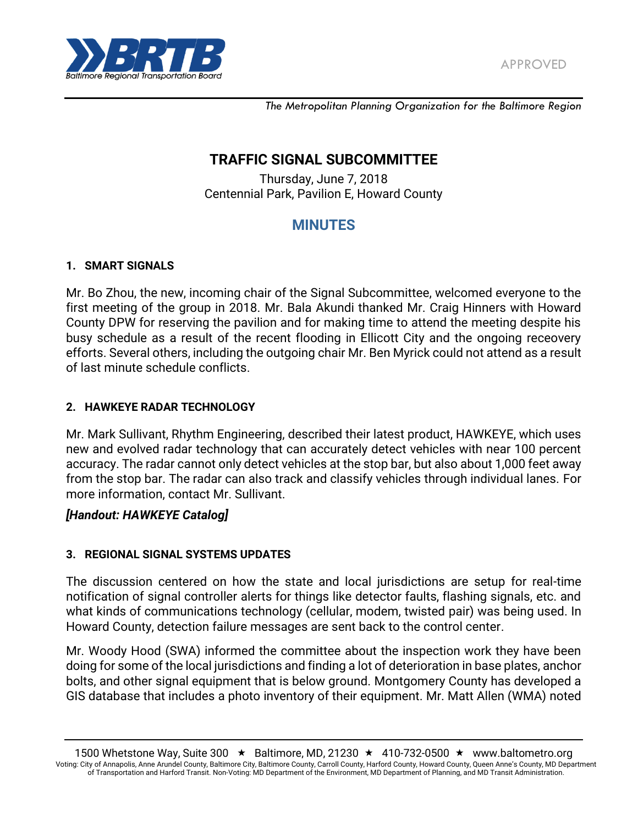

*The Metropolitan Planning Organization for the Baltimore Region*

# **TRAFFIC SIGNAL SUBCOMMITTEE**

Thursday, June 7, 2018 Centennial Park, Pavilion E, Howard County

# **MINUTES**

#### **1. SMART SIGNALS**

Mr. Bo Zhou, the new, incoming chair of the Signal Subcommittee, welcomed everyone to the first meeting of the group in 2018. Mr. Bala Akundi thanked Mr. Craig Hinners with Howard County DPW for reserving the pavilion and for making time to attend the meeting despite his busy schedule as a result of the recent flooding in Ellicott City and the ongoing receovery efforts. Several others, including the outgoing chair Mr. Ben Myrick could not attend as a result of last minute schedule conflicts.

#### **2. HAWKEYE RADAR TECHNOLOGY**

Mr. Mark Sullivant, Rhythm Engineering, described their latest product, HAWKEYE, which uses new and evolved radar technology that can accurately detect vehicles with near 100 percent accuracy. The radar cannot only detect vehicles at the stop bar, but also about 1,000 feet away from the stop bar. The radar can also track and classify vehicles through individual lanes. For more information, contact Mr. Sullivant.

### *[Handout: HAWKEYE Catalog]*

### **3. REGIONAL SIGNAL SYSTEMS UPDATES**

The discussion centered on how the state and local jurisdictions are setup for real-time notification of signal controller alerts for things like detector faults, flashing signals, etc. and what kinds of communications technology (cellular, modem, twisted pair) was being used. In Howard County, detection failure messages are sent back to the control center.

Mr. Woody Hood (SWA) informed the committee about the inspection work they have been doing for some of the local jurisdictions and finding a lot of deterioration in base plates, anchor bolts, and other signal equipment that is below ground. Montgomery County has developed a GIS database that includes a photo inventory of their equipment. Mr. Matt Allen (WMA) noted

<sup>1500</sup> Whetstone Way, Suite 300  $\star$  Baltimore, MD, 21230  $\star$  410-732-0500  $\star$  www.baltometro.org Voting: City of Annapolis, Anne Arundel County, Baltimore City, Baltimore County, Carroll County, Harford County, Howard County, Queen Anne's County, MD Department of Transportation and Harford Transit. Non-Voting: MD Department of the Environment, MD Department of Planning, and MD Transit Administration.